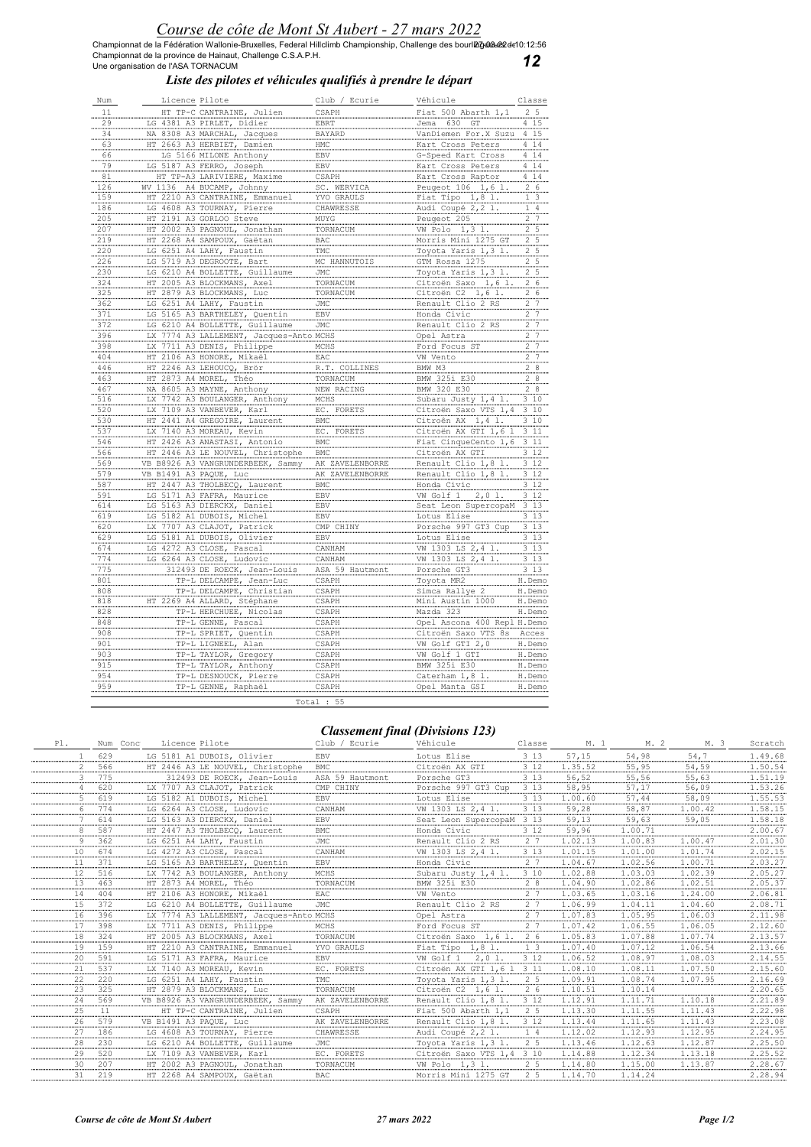Championnat de la Fédération Wallonie-Bruxelles, Federal Hillclimb Championship, Challenge des bourl**മര്യമേഷ്മ** de10:12:56<br>Championnat de la province de Hainaut, Challenge C.S.A.P.H.<br>Une organisation de l'ASA TORNACUM

12

## Liste des pilotes et véhicules qualifiés à prendre le départ

| Num                | Licence Pilote                    | Club / Ecurie   | Véhicule                    | Classe                      |
|--------------------|-----------------------------------|-----------------|-----------------------------|-----------------------------|
| 11                 | HT TP-C CANTRAINE, Julien         | CSAPH           | Fiat 500 Abarth 1,1         | 2 <sub>5</sub>              |
| 29                 | LG 4381 A3 PIRLET, Didier         | EBRT            | Jema 630 GT                 | 4 15                        |
| 34                 | NA 8308 A3 MARCHAL, Jacques       | <b>BAYARD</b>   | VanDiemen For.X Suzu        | 4 15                        |
| $\frac{1}{63}$     |                                   |                 |                             |                             |
|                    | HT 2663 A3 HERBIET, Damien        | <b>HMC</b>      | Kart Cross Peters           | $4 \t14$                    |
|                    | LG 5166 MILONE Anthony            | EBV             | G-Speed Kart Cross          | 14<br>4                     |
|                    | LG 5187 A3 FERRO, Joseph          | EBV.            | Kart Cross Peters           | 4 1 4                       |
| 81                 | HT TP-A3 LARIVIERE, Maxime        | CSAPH           | Kart Cross Raptor           | $4 \t14$                    |
| 126                | WV 1136 A4 BUCAMP, Johnny         | SC. WERVICA     | Peugeot 106 1,6 1           | 2, 6                        |
| 159                | HT 2210 A3 CANTRAINE, Emmanuel    | YVO GRAULS      | Fiat Tipo 1,8 l.            | $\overline{3}$<br>1         |
| 186                | LG 4608 A3 TOURNAY, Pierre        | CHAWRESSE       | Audi Coupé 2,2 l.           | $\mathbf{1}$<br>4           |
| 205                | HT 2191 A3 GORLOO Steve           |                 | Peugeot 205                 | 2, 7                        |
| 207                |                                   | MUYG            |                             | 2, 5                        |
|                    | HT 2002 A3 PAGNOUL, Jonathan      | TORNACUM        | VW Polo 1,3 1.              |                             |
| 219                | HT 2268 A4 SAMPOUX, Gaëtan        | BAC             | Morris Mini 1275            | $\overline{2}$<br>5         |
| .220               | LG 6251 A4 LAHY, Faustin          | TMC             | Toyota Yaris 1, 3 1.        | 2.5                         |
| 226                | LG 5719 A3 DEGROOTE, Bart         | MC HANNUTOIS    | GTM Rossa 1275              | $\stackrel{2}{\ldots}$<br>5 |
| 230                | LG 6210 A4 BOLLETTE, Guillaum     | JMC             | Toyota Yaris 1, 3 1         | $\frac{2}{2}$<br>5          |
| 324                | HT 2005 A3 BLOCKMANS, Axel        | TORNACUM        | Citroën Saxo 1,6 1          | 2, 6                        |
| 325                | HT 2879 A3 BLOCKMANS, Luc         | TORNACUM        | Citroën C2 1,6 1.           | $\stackrel{2}{\ldots}$<br>6 |
| 362                | LG 6251 A4 LAHY, Faustin          | JMC             | Renault Clio 2 RS           | $\overline{7}$<br>2         |
| 371                |                                   |                 |                             |                             |
|                    | LG 5165 A3 BARTHELEY, Quentin     | EBV.            | Honda Civic                 | 2.7                         |
| 372                | LG 6210 A4 BOLLETTE, Guillaume    | JMC             | Renault Clio 2 RS           | 2.7                         |
| .396               | LX 7774 A3 LALLEMENT, Jacques     | o MCHS          | Opel Astra                  | 2.7                         |
| 398                | LX 7711 A3 DENIS, Philippe        | MCHS            | Ford Focus ST               | 2 <sub>7</sub>              |
| 404                | HT 2106 A3 HONORE, Mikaël         | EAC             | VW Vento                    | $\frac{2}{7}$               |
| 446                | HT 2246 A3 LEHOUCO, Brör          | R.T. COLLINE    | BMW M3                      | 28                          |
| .463               | HT 2873 A4 MOREL, Théo            | TORNACUM        | BMW 325i E30                | 8<br>2                      |
| 467                | NA 8605 A3 MAYNE, Anthony         | NEW RACING      | BMW 320 E30                 | 2<br>$\frac{8}{2}$          |
| 516                | LX 7742 A3 BOULANGER, Anthony     | MCHS            | Subaru Justy 1, 4 1         | 3 10                        |
| 520                | LX 7109 A3 VANBEVER, Karl         | EC. FORETS      | Citroën Saxo VTS 1,4        | 3 10                        |
| 530                | HT 2441 A4 GREGOIRE, Laurent      |                 | Citroên AX 1,4 1.           | 3, 10                       |
|                    |                                   | BMC             |                             |                             |
| 537                | LX 7140 A3 MOREAU, Kevin          | EC. FORETS      | Citroën AX GTI 1,6          | 311                         |
| 546                | HT 2426 A3 ANASTASI, Antonio      | BMC             | Fiat CinqueCento 1,6        | 3 11                        |
| 566                | HT 2446 A3 LE NOUVEL, Christophe  | BMC             | Citroën AX GTI              | 3.12                        |
| 569                | VB B8926 A3 VANGRUNDERBEEK, Sammy | AK ZAVELENBORRE | Renault Clio 1,8 1          | $3\overline{12}$            |
| 579                | VB B1491 A3 PAQUE, Luc            | AK ZAVELENBORRE | Renault Clio 1,8 1.         | 3.12                        |
| 587                | HT 2447 A3 THOLBECO, Laurent      | BMC             | Honda Civic                 | 3 1 2                       |
| 591                | LG 5171 A3 FAFRA, Maurice         | EBV.            | VW Golf 1 2,0 1.            | 3.12                        |
| 614                | LG 5163 A3 DIERCKX, Daniel        | EBV             | Seat Leon SupercopaM        | 3 1 3                       |
| 619                |                                   | EBV             |                             |                             |
|                    | LG 5182 A1 DUBOIS, Michel         |                 | Lotus Elise                 | $3 \overline{13}$           |
| $\underbrace{620}$ | LX 7707 A3 CLAJOT, Patrick        | CMP CHINY       | Porsche 997 GT3 Cup         | 3, 13                       |
| 629                | LG 5181 A1 DUBOIS, Olivier        | EBV.            | Lotus Elise                 | 3 1 3                       |
| 674                | LG 4272 A3 CLOSE, Pascal          | CANHAM          | VW 1303 LS 2,4 1            | 3.13                        |
| 774                | LG 6264 A3 CLOSE, Ludovic         | CANHAM          | VW 1303 LS 2,4 1            | $3\quad13$                  |
| .775               | 312493 DE ROECK, Jean-Louis       | ASA 59 Hautmont | Porsche GT3                 | $3 \t13$                    |
| 801                | TP-L DELCAMPE, Jean-Luc           | CSAPH           | Toyota MR2                  | H.Demo                      |
| 808                | TP-L DELCAMPE, Christian          | CSAPH           | Simca Rallye 2              | H.Demo                      |
| 818                | HT 2269 A4 ALLARD, Stéphane       | CSAPH           | Mini Austin 1000            | H.Demo                      |
|                    |                                   |                 |                             |                             |
| .828               | TP-L HERCHUEE, Nicolas            | CSAPH           | Mazda 323                   | H.Demo                      |
| 848                | TP-L GENNE, Pascal                | CSAPH           | Opel Ascona 400 Repl H.Demo |                             |
| 908                | TP-L SPRIET, Quentin              | CSAPH           | Citroën Saxo VTS 8s         | Acces                       |
| 901                | TP-L LIGNEEL, Alan                | CSAPH           | VW Golf GTI 2,0             | H.Demo                      |
| 903                | TP-L TAYLOR, Gregory              | <b>CSAPH</b>    | VW Golf 1 GTI               | H.Demo                      |
| 915                | TP-L TAYLOR, Anthony              | CSAPH           | BMW 325i E30                | H.Demo                      |
| 954                | TP-L DESNOUCK, Pierre             | CSAPH           | Caterham 1,8 l              | H.Demo                      |
|                    | TP-L GENNE, Raphaël               |                 | Opel Manta GSI              | H.Demo                      |
| 959                |                                   | CSAPH           |                             |                             |
|                    |                                   | Total : $55$    |                             |                             |

## Classement final (Divisions 123)

| PI.    |     | Licence Pilote<br>Num Conc              | Club / Ecurie   | Véhicule                  | Classe         | M. 1    | M. 2    | M. 3    | Scratch |
|--------|-----|-----------------------------------------|-----------------|---------------------------|----------------|---------|---------|---------|---------|
|        | 629 | LG 5181 A1 DUBOIS, Olivier              | <b>EBV</b>      | Lotus Elise               | 3 1 3          | 57,15   | 54,98   | 54,7    | 1.49.68 |
|        | 566 | HT 2446 A3 LE NOUVEL, Christophe        | BMC             | Citroën AX GTI            | 3 1 2          | 1.35.52 | 55,95   | 54,59   | 1.50.54 |
|        | 775 | 312493 DE ROECK, Jean-Louis             | ASA 59 Hautmont | Porsche GT3               | 3 1 3          | 56,52   | 55,56   | 55,63   | 1.51.19 |
|        | 620 | LX 7707 A3 CLAJOT, Patrick              | CMP CHINY       | Porsche 997 GT3 Cup       | 3 1 3          | 58,95   | 57,17   | 56,09   | 1.53.26 |
|        | 619 | LG 5182 A1 DUBOIS, Michel               | EBV             | Lotus Elise               | 3 1 3          | 1.00.60 | 57,44   | 58,09   | 1.55.53 |
|        | 774 | LG 6264 A3 CLOSE, Ludovic               | CANHAM          | VW 1303 LS 2,4 1.         | 3 1 3          | 59,28   | 58,87   | 1.00.42 | 1.58.15 |
|        | 614 | LG 5163 A3 DIERCKX, Daniel              | EBV             | Seat Leon SupercopaM 3 13 |                | 59,13   | 59,63   | 59,05   | 1.58.18 |
|        | 587 | HT 2447 A3 THOLBECQ, Laurent            | <b>BMC</b>      | Honda Civic               | 3 1 2          | 59,96   | 1.00.71 |         | 2.00.67 |
|        | 362 | LG 6251 A4 LAHY, Faustin                | JMC             | Renault Clio 2 RS         | 2 7            | 1.02.13 | 1.00.83 | 1.00.47 | 2.01.30 |
| 10     | 674 | LG 4272 A3 CLOSE, Pascal                | CANHAM          | VW 1303 LS 2,4 1.         | 3 1 3          | 1.01.15 | 1.01.00 | 1.01.74 | 2.02.15 |
| 11     | 371 | LG 5165 A3 BARTHELEY, Quentin           | EBV             | Honda Civic               | 2 <sub>7</sub> | 1.04.67 | 1.02.56 | 1.00.71 | 2.03.27 |
| 12     | 516 | LX 7742 A3 BOULANGER, Anthony           | MCHS            | Subaru Justy 1,4 1.       | 3 10           | 1.02.88 | 1.03.03 | 1.02.39 | 2.05.27 |
| <br>13 | 463 | HT 2873 A4 MOREL, Théo                  | TORNACUM        | BMW 325i E30              | 2 8            | 1.04.90 | 1.02.86 | 1.02.51 | 2.05.37 |
| 14     | 404 | HT 2106 A3 HONORE, Mikaël               | EAC             | VW Vento                  | 2 <sub>7</sub> | 1.03.65 | 1.03.16 | 1.24.00 | 2.06.81 |
| 1.5    | 372 | LG 6210 A4 BOLLETTE, Guillaume          | JMC             | Renault Clio 2 RS         | 2 <sub>7</sub> | 1.06.99 | 1.04.11 | 1.04.60 | 2.08.71 |
| 16     | 396 | LX 7774 A3 LALLEMENT, Jacques-Anto MCHS |                 | Opel Astra                | 2 <sub>7</sub> | 1.07.83 | 1.05.95 | 1.06.03 | 2.11.98 |
| 17     | 398 | LX 7711 A3 DENIS, Philippe              | MCHS            | Ford Focus ST             | 2 <sub>7</sub> | 1.07.42 | 1.06.55 | 1.06.05 | 2.12.60 |
| 18     | 324 | HT 2005 A3 BLOCKMANS, Axel              | TORNACUM        | Citroën Saxo 1,6 1.       | 26             | 1.05.83 | 1.07.88 | 1.07.74 | 2.13.57 |
| 19     | 159 | HT 2210 A3 CANTRAINE, Emmanuel          | YVO GRAULS      | Fiat Tipo $1,8$ 1.        | 1 <sub>3</sub> | 1.07.40 | 1.07.12 | 1.06.54 | 2.13.66 |
| 20     | 591 | LG 5171 A3 FAFRA, Maurice               | EBV             | VW Golf 1<br>$2,01$ .     | 3 1 2          | 1.06.52 | 1.08.97 | 1.08.03 | 2.14.55 |
| 21     | 537 | LX 7140 A3 MOREAU, Kevin                | EC. FORETS      | Citroën AX GTI 1,6 l      | 3 1 1          | 1.08.10 | 1.08.11 | 1.07.50 | 2.15.60 |
| 22     | 220 | LG 6251 A4 LAHY, Faustin                | TMC             | Toyota Yaris 1,3 1.       | 2 5            | 1.09.91 | 1.08.74 | 1.07.95 | 2.16.69 |
| 23     | 325 | HT 2879 A3 BLOCKMANS, Luc               | TORNACUM        | Citroën C2 1,6 1.         | 2 6            | 1.10.51 | 1.10.14 |         | 2.20.65 |
| 24     | 569 | VB B8926 A3 VANGRUNDERBEEK, Sammy       | AK ZAVELENBORRE | Renault Clio 1,8 l.       | 3 1 2          | 1.12.91 | 1.11.71 | 1.10.18 | 2.21.89 |
| 25     | 11  | HT TP-C CANTRAINE, Julien               | CSAPH           | Fiat 500 Abarth $1,1$     | 2 <sub>5</sub> | 1.13.30 | 1.11.55 | 1.11.43 | 2.22.98 |
| 26     | 579 | VB B1491 A3 PAQUE, Luc                  | AK ZAVELENBORRE | Renault Clio 1,8 l.       | 3 1 2          | 1.13.44 | 1.11.65 | 1.11.43 | 2.23.08 |
| 27     | 186 | LG 4608 A3 TOURNAY, Pierre              | CHAWRESSE       | Audi Coupé 2,2 1.         | 14             | 1.12.02 | 1.12.93 | 1.12.95 | 2.24.95 |
| 28     | 230 | LG 6210 A4 BOLLETTE, Guillaume          | JMC             | Toyota Yaris 1,3 l.       | 2 <sub>5</sub> | 1.13.46 | 1.12.63 | 1.12.87 | 2.25.50 |
| 29     | 520 | LX 7109 A3 VANBEVER, Karl               | EC. FORETS      | Citroën Saxo VTS 1,4      | 3 10           | 1.14.88 | 1.12.34 | 1.13.18 | 2.25.52 |
| 30     | 207 | HT 2002 A3 PAGNOUL, Jonathan            | TORNACUM        | VW Polo 1,3 1.            | 2 5            | 1.14.80 | 1.15.00 | 1.13.87 | 2.28.67 |
| 31     | 219 | HT 2268 A4 SAMPOUX, Gaëtan              | BAC             | Morris Mini 1275 GT       | 2 <sub>5</sub> | 1.14.70 | 1.14.24 |         | 2.28.94 |